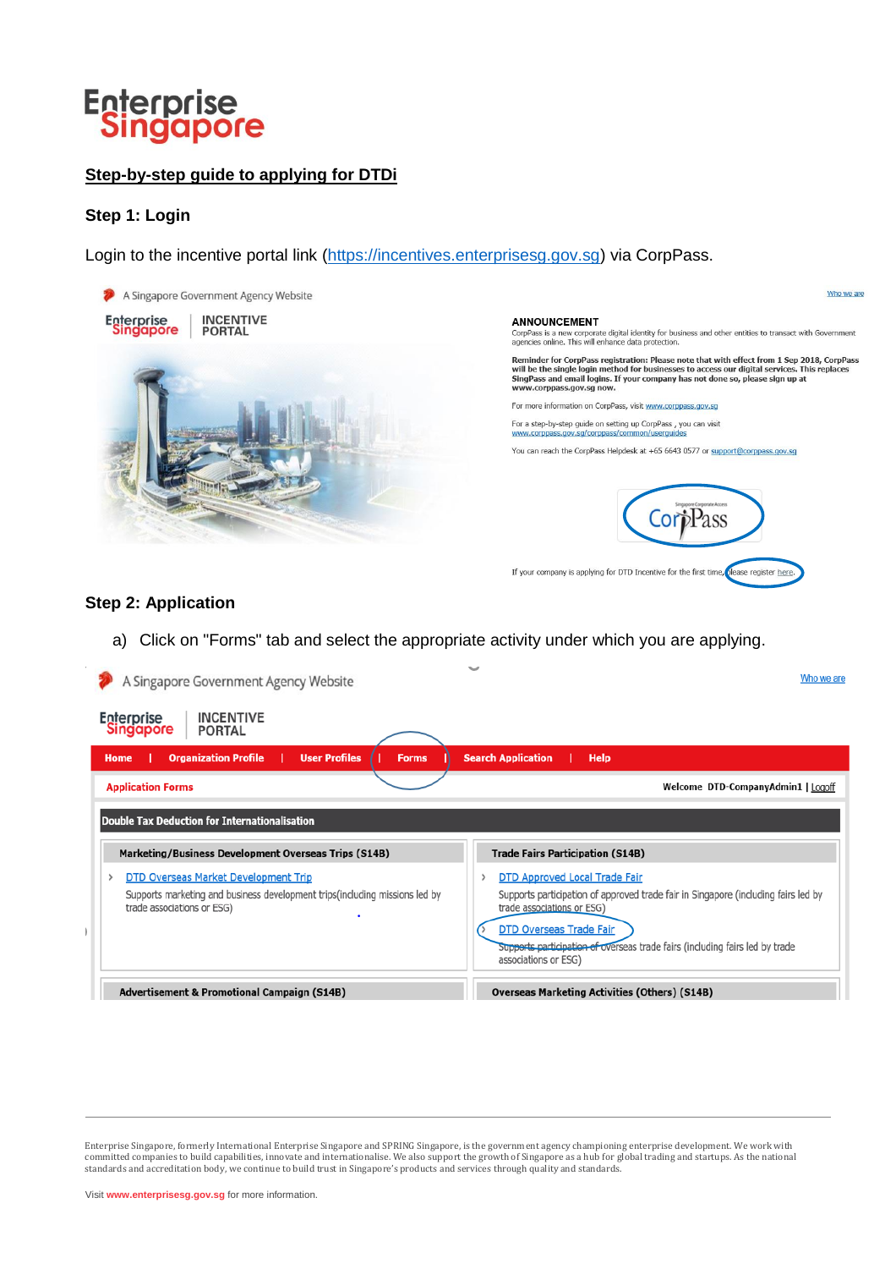#### **Step-by-step guide to applying for DTDi**

#### **Step 1: Login**

Login to the incentive portal link [\(https://incentives.enterprisesg.gov.sg\)](https://incentives.enterprisesg.gov.sg/) via CorpPass.



#### **Step 2: Application**

a) Click on "Forms" tab and select the appropriate activity under which you are applying.

| A Singapore Government Agency Website                                                                                                              | Who we are                                                                                                                                                                                                                                                                                         |
|----------------------------------------------------------------------------------------------------------------------------------------------------|----------------------------------------------------------------------------------------------------------------------------------------------------------------------------------------------------------------------------------------------------------------------------------------------------|
| <b>INCENTIVE</b><br><b>Enterprise</b><br><b>Singapore</b><br><b>PORTAL</b>                                                                         |                                                                                                                                                                                                                                                                                                    |
| <b>User Profiles</b><br><b>Organization Profile</b><br><b>Forms</b><br>Home                                                                        | <b>Search Application</b><br><b>Help</b>                                                                                                                                                                                                                                                           |
| <b>Application Forms</b>                                                                                                                           | Welcome DTD-CompanyAdmin1   Logoff                                                                                                                                                                                                                                                                 |
| <b>Double Tax Deduction for Internationalisation</b><br>Marketing/Business Development Overseas Trips (S14B)                                       | <b>Trade Fairs Participation (S14B)</b>                                                                                                                                                                                                                                                            |
| DTD Overseas Market Development Trip<br>Supports marketing and business development trips (including missions led by<br>trade associations or ESG) | <b>DTD Approved Local Trade Fair</b><br>Supports participation of approved trade fair in Singapore (including fairs led by<br>trade associations or ESG)<br><b>DTD Overseas Trade Fair</b><br>Supports participation of overseas trade fairs (including fairs led by trade<br>associations or ESG) |
| <b>Advertisement &amp; Promotional Campaign (S14B)</b>                                                                                             | <b>Overseas Marketing Activities (Others) (S14B)</b>                                                                                                                                                                                                                                               |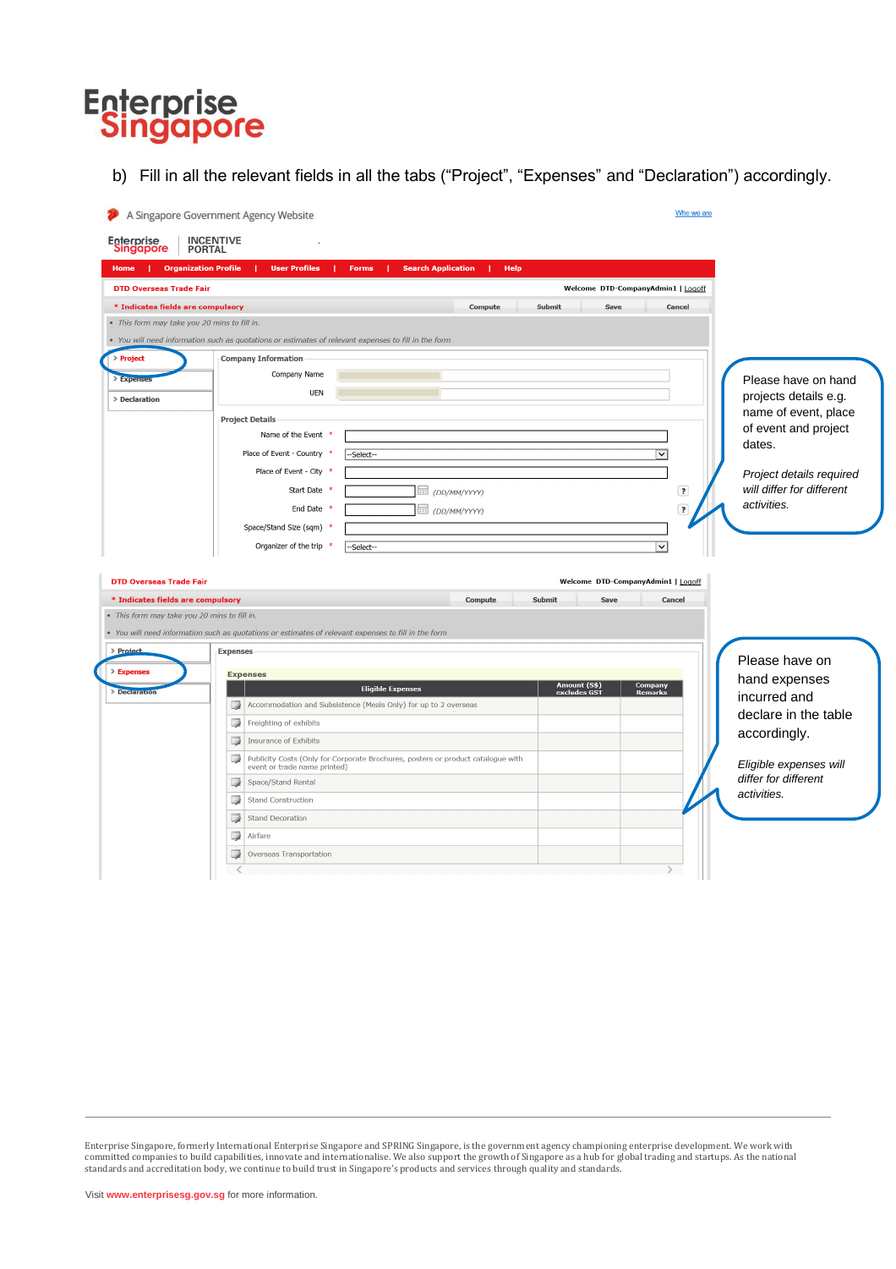b) Fill in all the relevant fields in all the tabs ("Project", "Expenses" and "Declaration") accordingly.

| Enterprise<br>Singapore           | <b>INCENTIVE</b><br><b>PORTAL</b>                                                                                                      |                                                                     |
|-----------------------------------|----------------------------------------------------------------------------------------------------------------------------------------|---------------------------------------------------------------------|
| Home                              | <b>Organization Profile</b><br><b>User Profiles</b><br><b>Search Application</b><br>Help<br><b>Forms</b>                               |                                                                     |
| <b>DTD Overseas Trade Fair</b>    | Welcome DTD-CompanyAdmin1   Logoff                                                                                                     |                                                                     |
|                                   | Compute<br>Submit<br>Save                                                                                                              | Cancel                                                              |
| * Indicates fields are compulsory | · This form may take you 20 mins to fill in.                                                                                           |                                                                     |
|                                   | • You will need information such as quotations or estimates of relevant expenses to fill in the form                                   |                                                                     |
| > Project                         | <b>Company Information</b>                                                                                                             |                                                                     |
| <b>Expense</b>                    | Company Name                                                                                                                           |                                                                     |
|                                   | <b>UEN</b>                                                                                                                             | Please have on hand<br>projects details e.g.                        |
| > Declaration                     |                                                                                                                                        | name of event, place                                                |
|                                   | <b>Project Details</b>                                                                                                                 | of event and project                                                |
|                                   | Name of the Event *                                                                                                                    | dates.                                                              |
|                                   | Place of Event - Country *<br>$\checkmark$<br>--Select--                                                                               |                                                                     |
|                                   | Place of Event - City *                                                                                                                | Project details required                                            |
|                                   | Start Date *<br>IIII (DD/MM/YYYY)                                                                                                      | will differ for different<br>$\overline{\mathbf{r}}$<br>activities. |
|                                   | End Date *<br>IIII (DD/MM/YYYY)                                                                                                        | $\overline{\cdot}$                                                  |
|                                   | Space/Stand Size (sqm) *                                                                                                               |                                                                     |
|                                   | Organizer of the trip<br>$\checkmark$<br>噻<br>--Select--                                                                               |                                                                     |
|                                   |                                                                                                                                        |                                                                     |
| <b>DTD Overseas Trade Fair</b>    | Welcome DTD-CompanyAdmin1   Logoff                                                                                                     |                                                                     |
| * Indicates fields are compulsory | Compute<br>Submit<br>Save                                                                                                              | Cancel                                                              |
|                                   | · This form may take you 20 mins to fill in.                                                                                           |                                                                     |
|                                   | • You will need information such as quotations or estimates of relevant expenses to fill in the form                                   |                                                                     |
| > Project                         | Expenses                                                                                                                               | Please have on                                                      |
| > Expenses                        | <b>Expenses</b><br>Company                                                                                                             | hand expenses                                                       |
| > Declaration                     | Amount (S\$)<br>excludes GS1<br><b>Eligible Expenses</b><br>Remarks<br>Accommodation and Subsistence (Meals Only) for up to 2 overseas | incurred and                                                        |
|                                   | D<br>Freighting of exhibits                                                                                                            | declare in the table                                                |
|                                   | D<br>D<br>Insurance of Exhibits                                                                                                        | accordingly.                                                        |
|                                   | Publicity Costs (Only for Corporate Brochures, posters or product catalogue with<br>B                                                  |                                                                     |
|                                   | event or trade name printed)                                                                                                           | Eligible expenses will<br>differ for different                      |
|                                   | D<br>Space/Stand Rental                                                                                                                | activities.                                                         |
|                                   | Stand Construction<br>p                                                                                                                |                                                                     |
|                                   | D<br>Stand Decoration                                                                                                                  |                                                                     |
|                                   |                                                                                                                                        |                                                                     |
|                                   | D<br>Airfare<br>p<br>Overseas Transportation                                                                                           |                                                                     |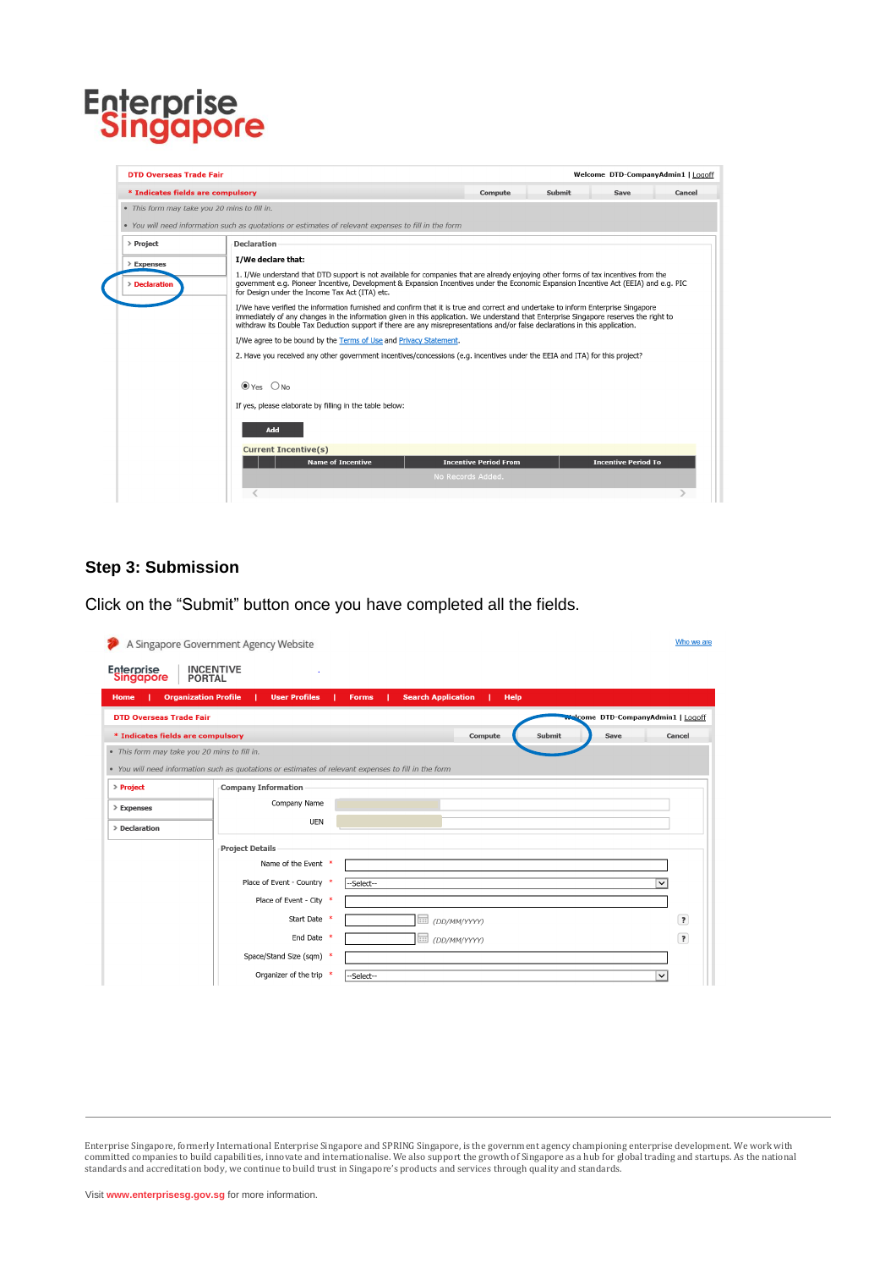| <b>DTD Overseas Trade Fair</b>               |                                                                                                                                                                                                                                                                                                                                                                                                             |                              |        | Welcome DTD-CompanyAdmin1   Logoff |        |
|----------------------------------------------|-------------------------------------------------------------------------------------------------------------------------------------------------------------------------------------------------------------------------------------------------------------------------------------------------------------------------------------------------------------------------------------------------------------|------------------------------|--------|------------------------------------|--------|
| * Indicates fields are compulsory            |                                                                                                                                                                                                                                                                                                                                                                                                             | Compute                      | Submit | Save                               | Cancel |
| . This form may take you 20 mins to fill in. |                                                                                                                                                                                                                                                                                                                                                                                                             |                              |        |                                    |        |
|                                              | • You will need information such as quotations or estimates of relevant expenses to fill in the form                                                                                                                                                                                                                                                                                                        |                              |        |                                    |        |
| > Project                                    | <b>Declaration</b>                                                                                                                                                                                                                                                                                                                                                                                          |                              |        |                                    |        |
| > Expenses                                   | I/We declare that:                                                                                                                                                                                                                                                                                                                                                                                          |                              |        |                                    |        |
| > Declaration                                | 1. I/We understand that DTD support is not available for companies that are already enjoying other forms of tax incentives from the<br>government e.g. Pioneer Incentive, Development & Expansion Incentives under the Economic Expansion Incentive Act (EEIA) and e.g. PIC<br>for Design under the Income Tax Act (ITA) etc.                                                                               |                              |        |                                    |        |
|                                              | I/We have verified the information furnished and confirm that it is true and correct and undertake to inform Enterprise Singapore<br>immediately of any changes in the information given in this application. We understand that Enterprise Singapore reserves the right to<br>withdraw its Double Tax Deduction support if there are any misrepresentations and/or false declarations in this application. |                              |        |                                    |        |
|                                              | I/We agree to be bound by the Terms of Use and Privacy Statement.                                                                                                                                                                                                                                                                                                                                           |                              |        |                                    |        |
|                                              | 2. Have you received any other government incentives/concessions (e.g. incentives under the EEIA and ITA) for this project?                                                                                                                                                                                                                                                                                 |                              |        |                                    |        |
|                                              | $\odot$ Yes $\odot$ No<br>If yes, please elaborate by filling in the table below:                                                                                                                                                                                                                                                                                                                           |                              |        |                                    |        |
|                                              | Add                                                                                                                                                                                                                                                                                                                                                                                                         |                              |        |                                    |        |
|                                              | <b>Current Incentive(s)</b>                                                                                                                                                                                                                                                                                                                                                                                 |                              |        |                                    |        |
|                                              | <b>Name of Incentive</b>                                                                                                                                                                                                                                                                                                                                                                                    | <b>Incentive Period From</b> |        | <b>Incentive Period To</b>         |        |
|                                              | No Records Added.                                                                                                                                                                                                                                                                                                                                                                                           |                              |        |                                    |        |
|                                              |                                                                                                                                                                                                                                                                                                                                                                                                             |                              |        |                                    |        |

#### **Step 3: Submission**

Click on the "Submit" button once you have completed all the fields.

|                                              | A Singapore Government Agency Website                                                                |              |                               |             |        |                                           | Who we are              |
|----------------------------------------------|------------------------------------------------------------------------------------------------------|--------------|-------------------------------|-------------|--------|-------------------------------------------|-------------------------|
| Enterprise<br>Singapore<br><b>PORTAL</b>     | <b>INCENTIVE</b>                                                                                     |              |                               |             |        |                                           |                         |
| <b>Organization Profile</b><br>Home          | <b>User Profiles</b>                                                                                 | <b>Forms</b> | <b>Search Application</b>     | <b>Help</b> |        |                                           |                         |
| <b>DTD Overseas Trade Fair</b>               |                                                                                                      |              |                               |             |        | <b>Nalcome DTD-CompanyAdmin1   Logoff</b> |                         |
| * Indicates fields are compulsory            |                                                                                                      |              |                               | Compute     | Submit | Save                                      | Cancel                  |
| . This form may take you 20 mins to fill in. |                                                                                                      |              |                               |             |        |                                           |                         |
|                                              | • You will need information such as quotations or estimates of relevant expenses to fill in the form |              |                               |             |        |                                           |                         |
| > Project                                    | <b>Company Information</b>                                                                           |              |                               |             |        |                                           |                         |
| > Expenses                                   | Company Name                                                                                         |              |                               |             |        |                                           |                         |
| > Declaration                                | <b>UEN</b>                                                                                           |              |                               |             |        |                                           |                         |
|                                              | <b>Project Details</b>                                                                               |              |                               |             |        |                                           |                         |
|                                              | Name of the Event *                                                                                  |              |                               |             |        |                                           |                         |
|                                              | Place of Event - Country *                                                                           | --Select--   |                               |             |        |                                           | $\checkmark$            |
|                                              | Place of Event - City *                                                                              |              |                               |             |        |                                           |                         |
|                                              | Start Date *                                                                                         |              | $\overline{}$<br>(DD/MM/YYYY) |             |        |                                           | $\overline{\mathbf{z}}$ |
|                                              | End Date *                                                                                           |              | $\overline{}$<br>(DD/MM/YYYY) |             |        |                                           | $\overline{\mathbf{r}}$ |
|                                              | Space/Stand Size (sqm) *                                                                             |              |                               |             |        |                                           |                         |
|                                              | Organizer of the trip *                                                                              | --Select--   |                               |             |        |                                           | $\checkmark$            |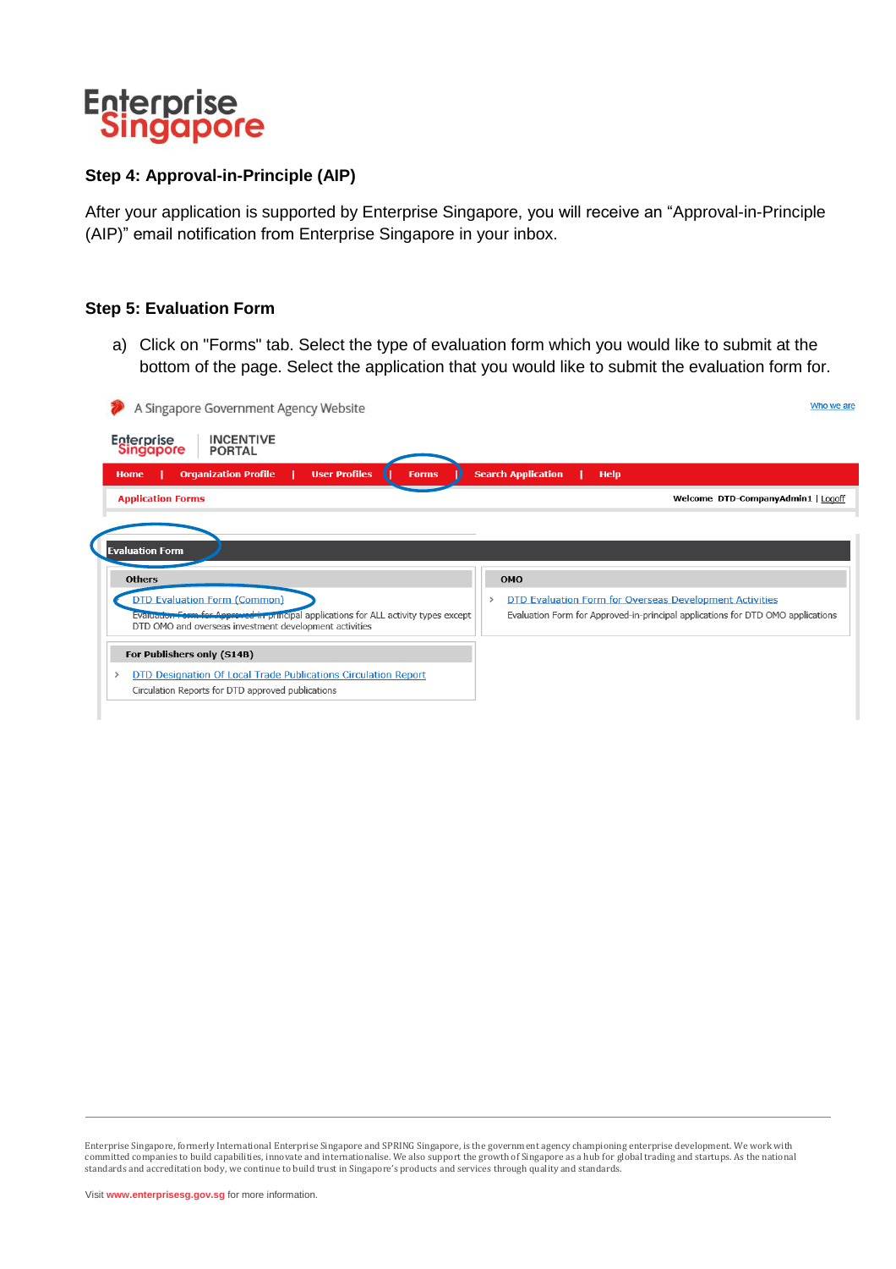

#### **Step 4: Approval-in-Principle (AIP)**

After your application is supported by Enterprise Singapore, you will receive an "Approval-in-Principle (AIP)" email notification from Enterprise Singapore in your inbox.

#### **Step 5: Evaluation Form**

a) Click on "Forms" tab. Select the type of evaluation form which you would like to submit at the bottom of the page. Select the application that you would like to submit the evaluation form for.

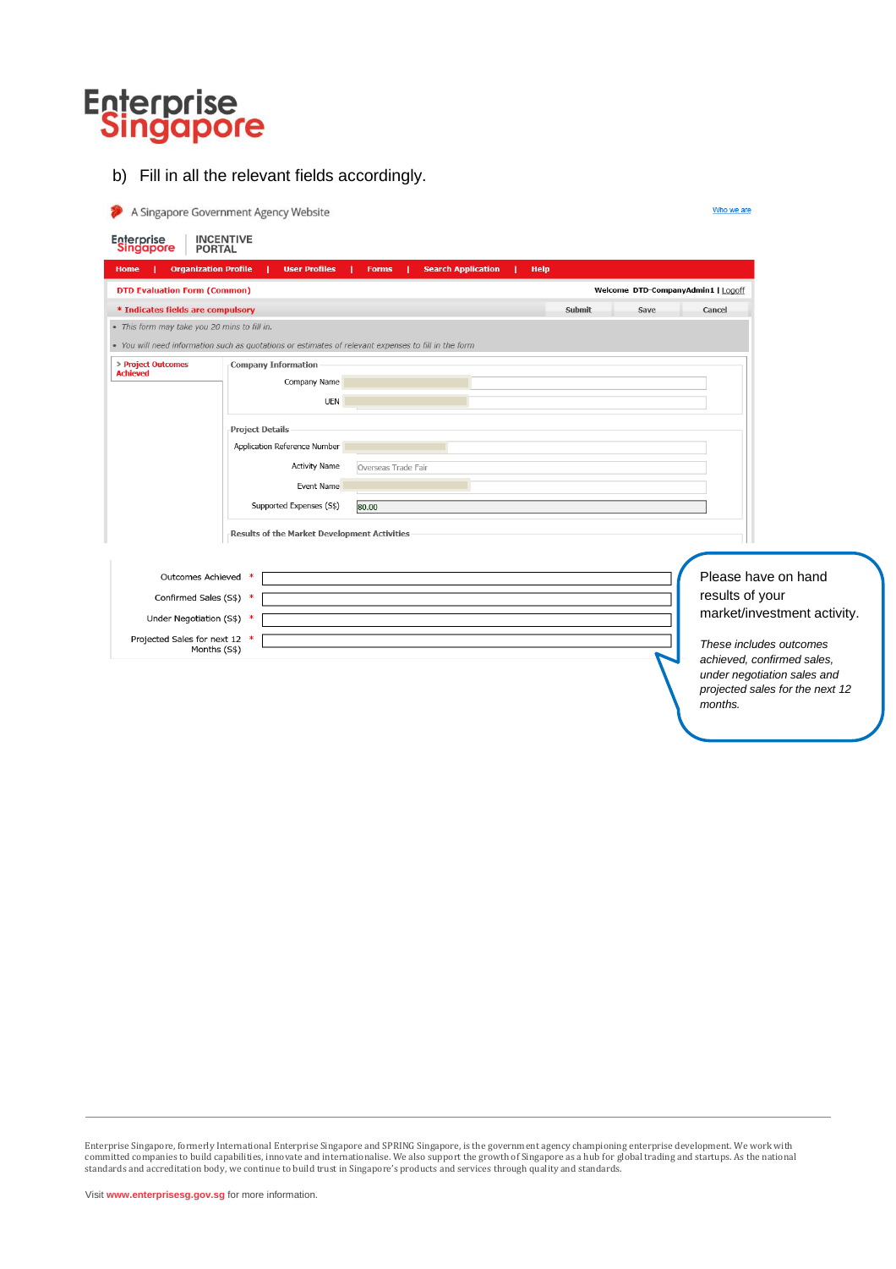b) Fill in all the relevant fields accordingly.

|                                               | A Singapore Government Agency Website                                                                |                     |                           |             |        |                                    | Who we are                                                     |  |
|-----------------------------------------------|------------------------------------------------------------------------------------------------------|---------------------|---------------------------|-------------|--------|------------------------------------|----------------------------------------------------------------|--|
| Enterprise<br>Singapore<br><b>PORTAL</b>      | <b>INCENTIVE</b>                                                                                     |                     |                           |             |        |                                    |                                                                |  |
| <b>Organization Profile</b><br>Home           | <b>User Profiles</b>                                                                                 | <b>Forms</b>        | <b>Search Application</b> | <b>Help</b> |        |                                    |                                                                |  |
| <b>DTD Evaluation Form (Common)</b>           |                                                                                                      |                     |                           |             |        | Welcome DTD-CompanyAdmin1   Logoff |                                                                |  |
| * Indicates fields are compulsory             |                                                                                                      |                     |                           |             | Submit | Save                               | Cancel                                                         |  |
| · This form may take you 20 mins to fill in.  |                                                                                                      |                     |                           |             |        |                                    |                                                                |  |
|                                               | • You will need information such as quotations or estimates of relevant expenses to fill in the form |                     |                           |             |        |                                    |                                                                |  |
| > Project Outcomes<br><b>Achieved</b>         | <b>Company Information</b>                                                                           |                     |                           |             |        |                                    |                                                                |  |
|                                               | Company Name                                                                                         |                     |                           |             |        |                                    |                                                                |  |
|                                               | <b>UEN</b>                                                                                           |                     |                           |             |        |                                    |                                                                |  |
|                                               | <b>Project Details</b>                                                                               |                     |                           |             |        |                                    |                                                                |  |
|                                               | Application Reference Number                                                                         |                     |                           |             |        |                                    |                                                                |  |
|                                               | <b>Activity Name</b>                                                                                 | Overseas Trade Fair |                           |             |        |                                    |                                                                |  |
|                                               | Event Name                                                                                           |                     |                           |             |        |                                    |                                                                |  |
|                                               | Supported Expenses (S\$)                                                                             | 80.00               |                           |             |        |                                    |                                                                |  |
|                                               | Results of the Market Development Activities                                                         |                     |                           |             |        |                                    |                                                                |  |
|                                               |                                                                                                      |                     |                           |             |        |                                    |                                                                |  |
|                                               |                                                                                                      |                     |                           |             |        |                                    |                                                                |  |
| Outcomes Achieved                             |                                                                                                      |                     |                           |             |        |                                    | Please have on hand                                            |  |
| Confirmed Sales (S\$) *                       |                                                                                                      |                     |                           |             |        |                                    | results of your                                                |  |
| Under Negotiation (S\$) *                     |                                                                                                      |                     |                           |             |        |                                    | market/investment activity.                                    |  |
| Projected Sales for next 12 *<br>Months (S\$) |                                                                                                      |                     |                           |             |        |                                    | These includes outcomes                                        |  |
|                                               |                                                                                                      |                     |                           |             |        |                                    | achieved, confirmed sales,                                     |  |
|                                               |                                                                                                      |                     |                           |             |        |                                    | under negotiation sales and<br>projected sales for the next 12 |  |
|                                               |                                                                                                      |                     |                           |             |        |                                    | months.                                                        |  |
|                                               |                                                                                                      |                     |                           |             |        |                                    |                                                                |  |

Enterprise Singapore, formerly International Enterprise Singapore and SPRING Singapore, is the government agency championing enterprise development. We work with<br>committed companies to build capabilities, innovate and inte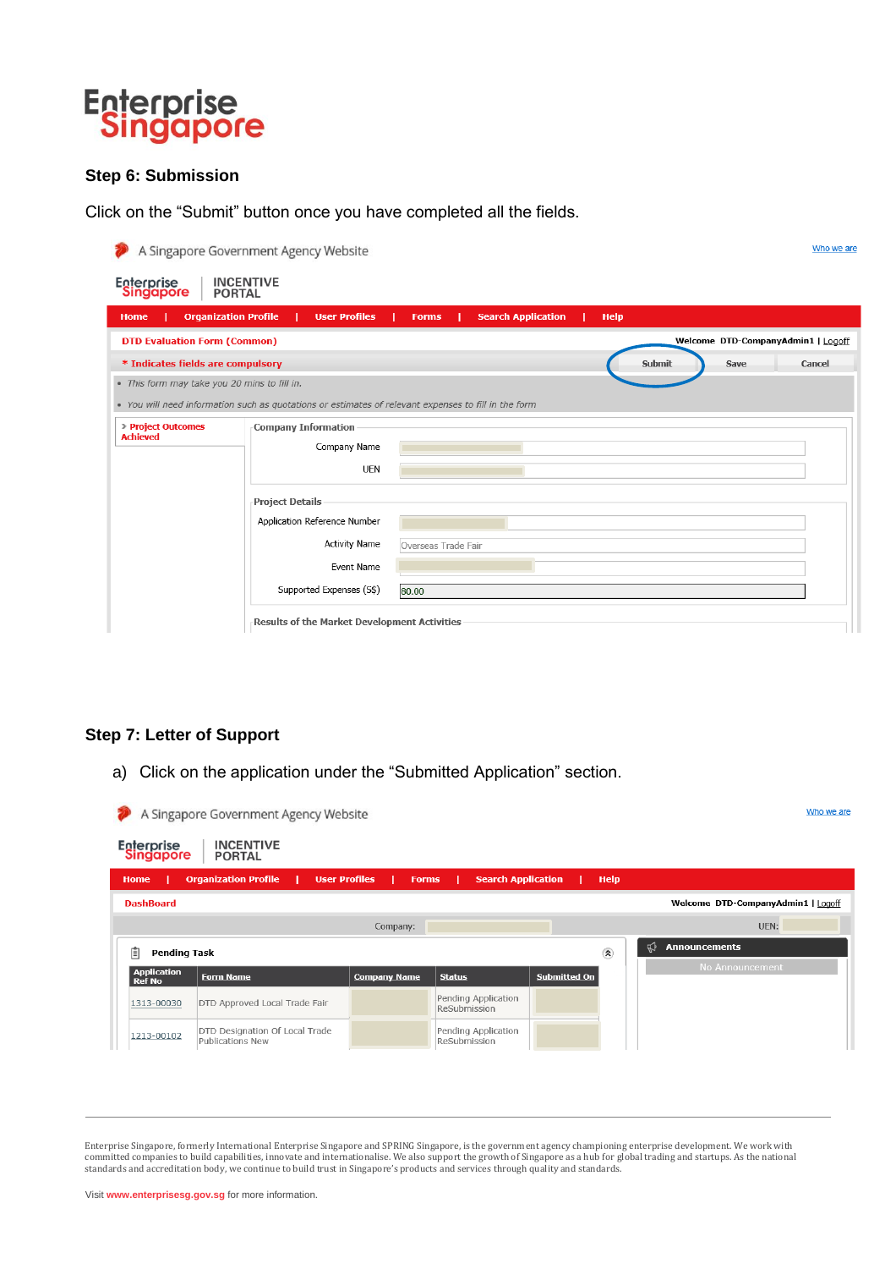

#### **Step 6: Submission**

Click on the "Submit" button once you have completed all the fields.

|                                              | A Singapore Government Agency Website                                                                |                     |                           |             |        |      | Who we are                         |
|----------------------------------------------|------------------------------------------------------------------------------------------------------|---------------------|---------------------------|-------------|--------|------|------------------------------------|
| Enterprise<br>Singapore                      | <b>INCENTIVE</b><br><b>PORTAL</b>                                                                    |                     |                           |             |        |      |                                    |
| <b>Organization Profile</b><br><b>Home</b>   | <b>User Profiles</b>                                                                                 | <b>Forms</b>        | <b>Search Application</b> | <b>Help</b> |        |      |                                    |
| <b>DTD Evaluation Form (Common)</b>          |                                                                                                      |                     |                           |             |        |      | Welcome DTD-CompanyAdmin1   Logoff |
| * Indicates fields are compulsory            |                                                                                                      |                     |                           |             | Submit | Save | Cancel                             |
| . This form may take you 20 mins to fill in. |                                                                                                      |                     |                           |             |        |      |                                    |
|                                              | • You will need information such as quotations or estimates of relevant expenses to fill in the form |                     |                           |             |        |      |                                    |
| > Project Outcomes<br><b>Achieved</b>        | <b>Company Information</b>                                                                           |                     |                           |             |        |      |                                    |
|                                              | Company Name                                                                                         |                     |                           |             |        |      |                                    |
|                                              | <b>UEN</b>                                                                                           |                     |                           |             |        |      |                                    |
|                                              | <b>Project Details</b>                                                                               |                     |                           |             |        |      |                                    |
|                                              | Application Reference Number                                                                         |                     |                           |             |        |      |                                    |
|                                              | <b>Activity Name</b>                                                                                 | Overseas Trade Fair |                           |             |        |      |                                    |
|                                              | Event Name                                                                                           |                     |                           |             |        |      |                                    |
|                                              | Supported Expenses (S\$)                                                                             | 80.00               |                           |             |        |      |                                    |
|                                              | Results of the Market Development Activities                                                         |                     |                           |             |        |      |                                    |

#### **Step 7: Letter of Support**

a) Click on the application under the "Submitted Application" section.

| Welcome DTD-CompanyAdmin1   Logoff |
|------------------------------------|
| UEN:                               |
|                                    |
| No Announcement                    |
|                                    |
|                                    |
|                                    |